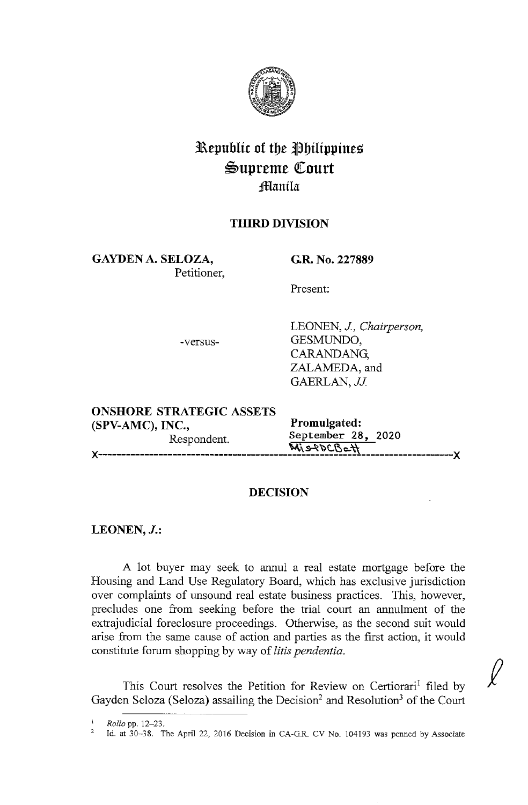

# **Republic of the Philippines \$Upreme QCourt Jfma:nila**

# **THIRD DIVISION**

**GAYDEN A. SELOZA,**  Petitioner,

**G.R. No. 227889** 

Present:

-versus-

LEONEN, *J, Chairperson,*  GESMUNDO, CARANDANG, ZALAMEDA, and GAERLAN, JJ.

 $\ell$ 

| <b>ONSHORE STRATEGIC ASSETS</b> |                    |  |
|---------------------------------|--------------------|--|
| $(SPV-AMC)$ , INC.,             | Promulgated:       |  |
| Respondent.                     | September 28, 2020 |  |
|                                 | MisROCBett         |  |
|                                 |                    |  |

# **DECISION**

# **LEONEN,J.:**

A lot buyer may seek to annul a real estate mortgage before the Housing and Land Use Regulatory Board, which has exclusive jurisdiction over complaints of unsound real estate business practices. This, however, precludes one from seeking before the trial court an annulment of the extrajudicial foreclosure proceedings. Otherwise, as the second suit would arise from the same cause of action and parties as the first action, it would constitute forum shopping by way of *litis pendentia.* 

This Court resolves the Petition for Review on Certiorari<sup>1</sup> filed by Gayden Seloza (Seloza) assailing the Decision<sup>2</sup> and Resolution<sup>3</sup> of the Court

<sup>1</sup> *Rollo* pp. 12-23.

<sup>1</sup>d. at 30-38. The April 22, 2016 Decision in CA-GR. CV No. 104193 was penned by Associate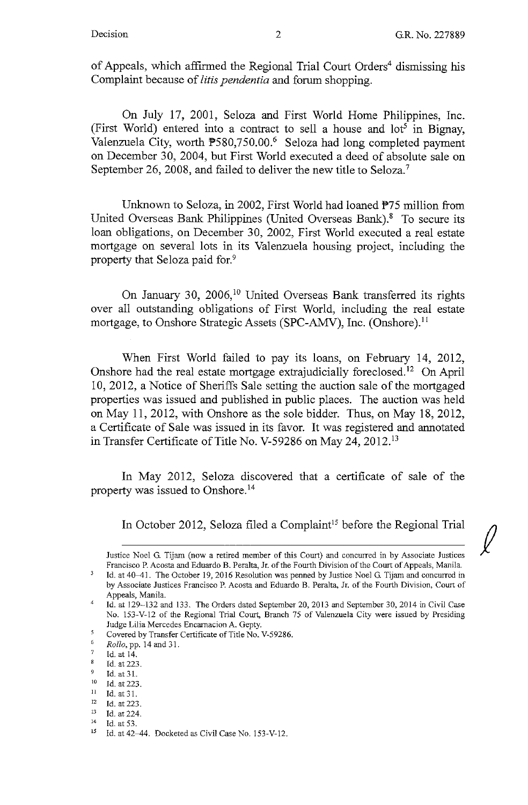**f** 

of Appeals, which affirmed the Regional Trial Court Orders<sup>4</sup> dismissing his Complaint because of *litis pendentia* and forum shopping.

On July 17, 2001, Seloza and First World Home Philippines, Inc. (First World) entered into a contract to sell a house and  $10t^5$  in Bignay, Valenzuela City, worth  $\mathbb{P}580,750.00$ .<sup>6</sup> Seloza had long completed payment on December 30, 2004, but First World executed a deed of absolute sale on September 26, 2008, and failed to deliver the new title to Seloza.<sup>7</sup>

Unknown to Seloza, in 2002, First World had loaned P75 million from United Overseas Bank Philippines (United Overseas Bank).<sup>8</sup> To secure its loan obligations, on December 30, 2002, First World executed a real estate mortgage on several lots in its Valenzuela housing project, including the property that Seloza paid for.<sup>9</sup>

On January 30, 2006,<sup>10</sup> United Overseas Bank transferred its rights over all outstanding obligations of First World, including the real estate mortgage, to Onshore Strategic Assets (SPC-AMV), Inc. (Onshore).<sup>11</sup>

When First World failed to pay its loans, on February 14, 2012, Onshore had the real estate mortgage extrajudicially foreclosed.<sup>12</sup> On April 10, 2012, a Notice of Sheriffs Sale setting the auction sale of the mortgaged properties was issued and published in public places. The auction was held on May 11, 2012, with Onshore as the sole bidder. Thus, on May 18, 2012, a Certificate of Sale was issued in its favor. It was registered and annotated in Transfer Certificate of Title No. V-59286 on May 24, 2012.<sup>13</sup>

In May 2012, Seloza discovered that a certificate of sale of the property was issued to Onshore. <sup>14</sup>

In October 2012, Seloza filed a Complaint<sup>15</sup> before the Regional Trial

Justice Noel G. Tijam (now a retired member of this Court) aud concurred in by Associate Justices Fraucisco P. Acosta aud Eduardo B. Peralta, Jr. of the Fourth Division of the Court of Appeals, Mauila.

Id. at 40-41. The October 19, 2016 Resolution was penned by Justice Noel G. Tijam and concurred in **by Associate Justices Francisco P. Acosta and Eduardo B. Peralta, Jr. of the Fourth Division, Court of**  Appeals, Manila.

<sup>4</sup>  Id. at 129-132 and 133. The Orders dated September 20, 2013 and September 30, 2014 in Civil Case No. 153-V-12 of the Regional Trial Court, Branch 75 of Valenzuela City were issued by Presiding Judge Lilia Mercedes Encarnacion A. Gepty.

 $\mathcal{R}$ Covered by Transfer Certificate of Title No. V-59286.

<sup>6</sup>  *Rollo,* pp. 14 and 31.

<sup>7</sup>  Id. at 14.

 $\mathbf{g}$ Id. at 223.

<sup>9</sup>  Id. at 31.

<sup>10</sup> Id. at 223.<br>
11 Id. at 31.<br>
12 Id. at 223.

<sup>13</sup> Id. at 224. 14 **Id. at** 53.

 $15$  Id. at 42-44. Docketed as Civil Case No. 153-V-12.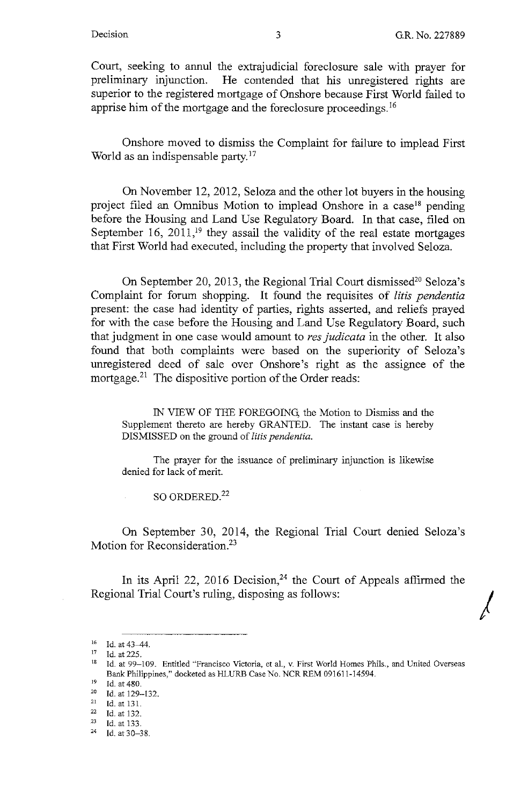*I* 

Court, seeking to annul the extrajudicial foreclosure sale with prayer for preliminary injunction. He contended that his unregistered rights are superior to the registered mortgage of Onshore because First World failed to apprise him of the mortgage and the foreclosure proceedings. <sup>16</sup>

Onshore moved to dismiss the Complaint for failure to implead First World as an indispensable party.<sup>17</sup>

On November 12, 2012, Seloza and the other lot buyers in the housing project filed an Omnibus Motion to implead Onshore in a case<sup>18</sup> pending before the Housing and Land Use Regulatory Board. In that case, filed on September 16,  $2011$ ,<sup>19</sup> they assail the validity of the real estate mortgages that First World had executed, including the property that involved Seloza.

On September 20, 2013, the Regional Trial Court dismissed<sup>20</sup> Seloza's Complaint for forum shopping. It found the requisites of *litis pendentia*  present: the case had identity of parties, rights asserted, and reliefs prayed for with the case before the Housing and Land Use Regulatory Board, such that judgment in one case would amount to *res judicata* in the other. It also found that both complaints were based on the superiority of Seloza's unregistered deed of sale over Onshore's right as the assignee of the mortgage.<sup>21</sup> The dispositive portion of the Order reads:

IN VIEW OF THE FOREGOING, the Motion to Dismiss and the Supplement thereto are hereby GRANTED. The instant case is hereby DISMISSED on the ground of *litis pendentia.* 

The prayer for the issuance of preliminary injunction is likewise denied for lack of merit.

SO ORDERED.<sup>22</sup>

On September 30, 2014, the Regional Trial Court denied Seloza's Motion for Reconsideration.<sup>23</sup>

In its April 22, 2016 Decision,<sup>24</sup> the Court of Appeals affirmed the Regional Trial Court's ruling, disposing as follows:

<sup>&</sup>lt;sup>16</sup> Id. at 43-44.

 $17$  Id. at 225.

<sup>&</sup>lt;sup>18</sup> Id. at 99–109. Entitled "Francisco Victoria, et al., v. First World Homes Phils., and United Overseas Bank Philippines," docketed as HLURB Case No. NCR REM 091611-14594.<br>
<sup>19</sup> Id. at 480.<br>
<sup>20</sup> Id. at 129-132.<br>
<sup>21</sup> Id. at 131.<br>
<sup>22</sup> Id. at 132.<br>
<sup>23</sup> Id. at 133.<br>
<sup>24</sup> Id. at 30-38.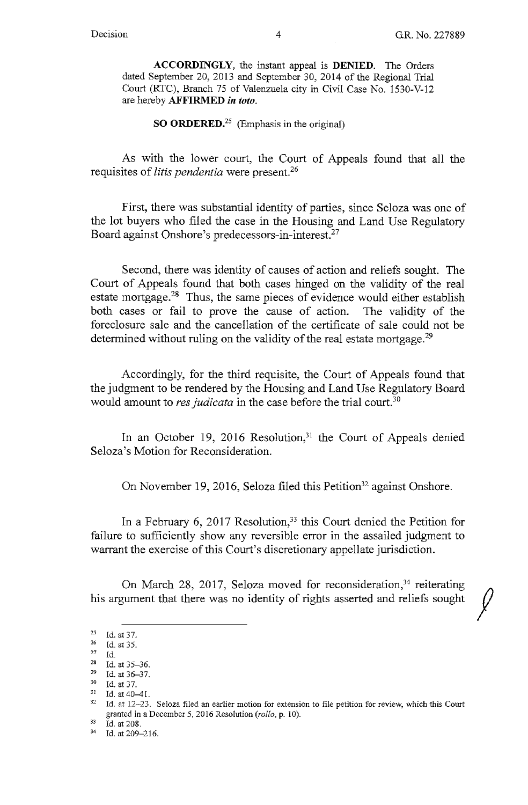**ACCORDINGLY,** the instant appeal is **DENIED.** The Orders dated September 20, 2013 and September 30, 2014 of the Regional Trial Court (RTC), Branch 75 of Valenzuela city in Civil Case No. 1530-V-12 are hereby **AFFIRMED** *in toto.* 

**SO ORDERED.<sup>25</sup>**(Emphasis in the original)

As with the lower court, the Court of Appeals found that all the requisites of *litis pendentia* were present.26

First, there was substantial identity of parties, since Seloza was one of the lot buyers who filed the case in the Housing and Land Use Regulatory Board against Onshore's predecessors-in-interest.27

Second, there was identity of causes of action and reliefs sought. The Court of Appeals found that both cases hinged on the validity of the real estate mortgage.<sup>28</sup> Thus, the same pieces of evidence would either establish both cases or fail to prove the cause of action. The validity of the foreclosure sale and the cancellation of the certificate of sale could not be determined without ruling on the validity of the real estate mortgage.<sup>29</sup>

Accordingly, for the third requisite, the Court of Appeals found that the judgment to be rendered by the Housing and Land Use Regulatory Board would amount to *res judicata* in the case before the trial court.<sup>30</sup>

In an October 19, 2016 Resolution,<sup>31</sup> the Court of Appeals denied Seloza's Motion for Reconsideration.

On November 19, 2016, Seloza filed this Petition<sup>32</sup> against Onshore.

In a February 6, 2017 Resolution,<sup>33</sup> this Court denied the Petition for failure to sufficiently show any reversible error in the assailed judgment to warrant the exercise of this Court's discretionary appellate jurisdiction.

On March 28, 2017, Seloza moved for reconsideration,<sup>34</sup> reiterating his argument that there was no identity of rights asserted and reliefs sought

<sup>25</sup> **ld.at37.** 

 $^{26}$  Id. at 35.

<sup>27</sup> Id.<br>
28 Id. at 35-36.<br>
29 Id. at 36-37.<br>
31 Id. at 40-41.<br>
32 Id. at 12-23.

Id. at 12-23. Seloza filed an earlier motion for extension to file petition for review, which this Court granted in a December 5, 2016 Resolution (*rollo*, p. 10).<br><sup>33</sup> Id. at 208.<br><sup>34</sup> Id. at 209–216.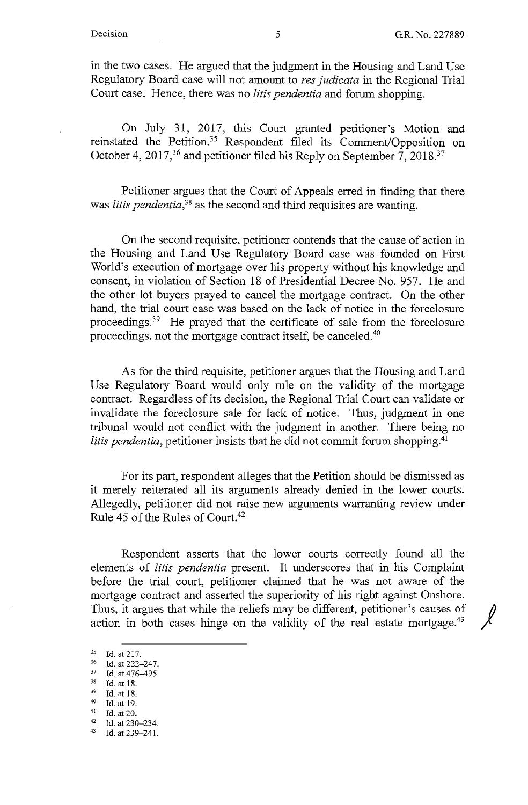in the two cases. He argued that the judgment in the Housing and Land Use Regulatory Board case will not amount to *res judicata* in the Regional Trial Court case. Hence, there was no *litis pendentia* and forum shopping.

On July 31, 2017, this Court granted petitioner's Motion and reinstated the Petition.<sup>35</sup> Respondent filed its Comment/Opposition on October 4, 2017,<sup>36</sup> and petitioner filed his Reply on September  $7, 2018$ .<sup>37</sup>

Petitioner argues that the Court of Appeals erred in finding that there was *litis pendentia,38* as the second and third requisites are wanting.

On the second requisite, petitioner contends that the cause of action in the Housing and Land Use Regulatory Board case was founded on First World's execution of mortgage over his property without his knowledge and consent, in violation of Section 18 of Presidential Decree No. 957. He and the other lot buyers prayed to cancel the mortgage contract. On the other hand, the trial court case was based on the lack of notice in the foreclosure proceedings.39 He prayed that the certificate of sale from the foreclosure proceedings, not the mortgage contract itself, be canceled.40

As for the third requisite, petitioner argues that the Housing and Land Use Regulatory Board would only rule on the validity of the mortgage contract. Regardless of its decision, the Regional Trial Court can validate or invalidate the foreclosure sale for lack of notice. Thus, judgment in one tribunal would not conflict with the judgment in another. There being no *litis pendentia, petitioner insists that he did not commit forum shopping.*<sup>41</sup>

For its part, respondent alleges that the Petition should be dismissed as it merely reiterated all its arguments already denied in the lower courts. Allegedly, petitioner did not raise new arguments warranting review under Rule 45 of the Rules of Court.<sup>42</sup>

Respondent asserts that the lower courts correctly found all the elements of *litis pendentia* present. It underscores that in his Complaint before the trial court, petitioner claimed that he was not aware of the mortgage contract and asserted the superiority of his right against Onshore. Thus, it argues that while the reliefs may be different, petitioner's causes of action in both cases hinge on the validity of the real estate mortgage.<sup>43</sup>

<sup>35</sup> Id. at 217.<br>36 Id. at 222-247.<br>37 Id. at 476-495.<br>38 Id. at 18.<br>39 Id. at 18.

<sup>39</sup> Id. at 18.<br>
40 Id. at 19.<br>
41 Id. at 230-234.<br>
43 Id. at 239-241.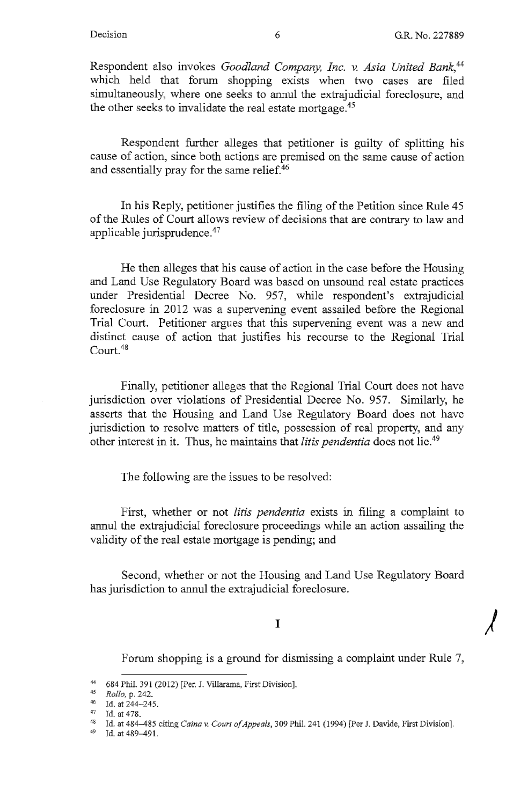*)* 

Respondent also invokes *Goodland Company, Inc. v. Asia United Bank,44*  which held that forum shopping exists when two cases are filed simultaneously, where one seeks to annul the extrajudicial foreclosure, and the other seeks to invalidate the real estate mortgage.<sup>45</sup>

Respondent further alleges that petitioner is guilty of splitting his cause of action, since both actions are premised on the same cause of action and essentially pray for the same relief.<sup>46</sup>

In his Reply, petitioner justifies the filing of the Petition since Rule 45 of the Rules of Court allows review of decisions that are contrary to law and applicable jurisprudence.47

He then alleges that his cause of action in the case before the Housing and Land Use Regulatory Board was based on unsound real estate practices under Presidential Decree No. 957, while respondent's extrajudicial foreclosure in 2012 was a supervening event assailed before the Regional Trial Court. Petitioner argues that this supervening event was a new and distinct cause of action that justifies his recourse to the Regional Trial Court.<sup>48</sup>

Finally, petitioner alleges that the Regional Trial Court does not have jurisdiction over violations of Presidential Decree No. 957. Similarly, he asserts that the Housing and Land Use Regulatory Board does not have jurisdiction to resolve matters of title, possession of real property, and any other interest in it. Thus, he maintains that *litis pendentia* does not lie.<sup>49</sup>

The following are the issues to be resolved:

First, whether or not *litis pendentia* exists in filing a complaint to annul the extrajudicial foreclosure proceedings while an action assailing the validity of the real estate mortgage is pending; and

Second, whether or not the Housing and Land Use Regulatory Board has jurisdiction to annul the extrajudicial foreclosure.

### I

Forum shopping is a ground for dismissing a complaint under Rule 7,

<sup>44 684</sup> Phil. 391 (2012) [Per. J. Villarama, First Division].<br> *Rollo*, p. 242.<br> **14 Id. at 244-245.**<br>
<sup>47</sup> **Id. at 478** 

<sup>&</sup>lt;sup>47</sup> Id. at 478.<br><sup>48</sup> Id. at 484–485 citing *Caina v. Court of Appeals*, 309 Phil. 241 (1994) [Per J. Davide, First Division].

<sup>&</sup>lt;sup>49</sup> Id. at 489-491.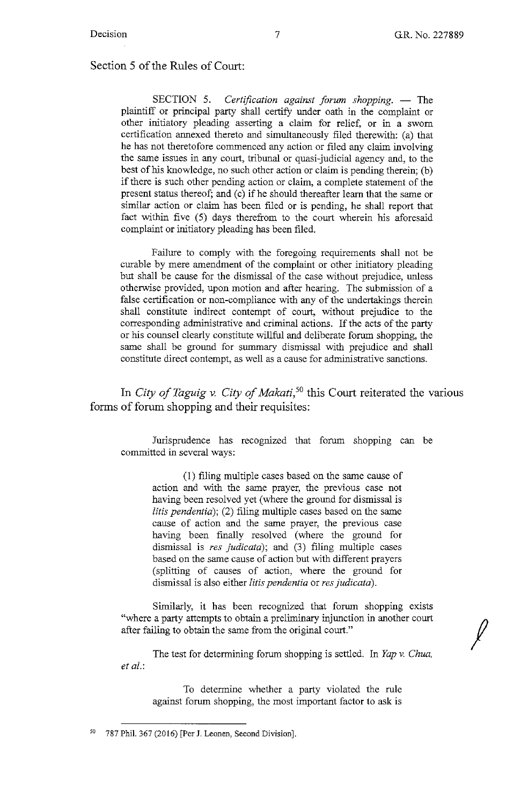*I* 

Section 5 of the Rules of Court:

SECTION 5. *Certification against forum shopping.* - The plaintiff or principal party shall certify under oath in the complaint or other initiatory pleading asserting a claim for relief, or in a sworn certification annexed thereto and simultaneously filed therewith: (a) that he has not theretofore commenced any action or filed any claim involving the same issues in any court, tribunal or quasi-judicial agency and, to the best of his knowledge, no such other action or claim is pending therein; (b) if there is such other pending action or claim, a complete statement of the present status thereof; and (c) if he should thereafter learn that the same or similar action or claim has been filed or is pending, he shall report that fact within five (5) days therefrom to the court wherein his aforesaid complaint or initiatory pleading has been filed.

Failure to comply with the foregoing requirements shall not be curable by mere amendment of the complaint or other initiatory pleading but shall be cause for the dismissal of the case without prejudice, unless otherwise provided, upon motion and after hearing. The submission of a false certification or non-compliance with any of the undertakings therein shall constitute indirect contempt of court, without prejudice to the corresponding administrative and criminal actions. If the acts of the party or his counsel clearly constitute willful and deliberate forum shopping, the same shall be ground for summary dismissal with prejudice and shall constitute direct contempt, as well as a cause for administrative sanctions.

In *City of Taguig v. City of Makati*,<sup>50</sup> this Court reiterated the various forms of forum shopping and their requisites:

Jurisprudence has recognized that forum shopping can be committed in several ways:

(1) filing multiple cases based on the same cause of action and with the same prayer, the previous case not having been resolved yet (where the ground for dismissal is *litis pendentia);* (2) filing multiple cases based on the same cause of action and the same prayer, the previous case having been finally resolved (where the ground for dismissal is *res judicata*); and (3) filing multiple cases based on the same cause of action but with different prayers ( splitting of causes of action, where the ground for dismissal is also either *litis pendentia* or *res judicata).* 

Similarly, it has been recognized that forum shopping exists "where a party attempts to obtain a preliminary injunction in another court after failing to obtain the same from the original court."

The test for determining forum shopping is settled. In *Yap v. Chua, et al.:* 

To determine whether a party violated the rule against forum shopping, the most important factor to ask is

 $50$  787 Phil. 367 (2016) [Per J. Leonen, Second Division].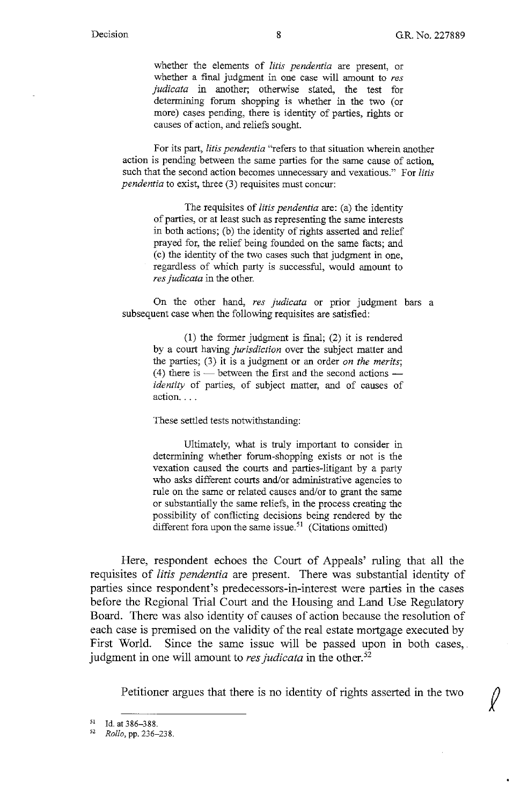whether the elements of *litis pendentia* are present, or whether a final judgment in one case will amount to *res judicata* in another; otherwise stated, the test for determining forum shopping is whether in the two (or more) cases pending, there is identity of parties, rights or causes of action, and reliefs sought.

For its part, *litis pendentia* "refers to that situation wherein another action is pending between the same parties for the same cause of action, such that the second action becomes unnecessary and vexatious." For *litis pendentia* to exist, three (3) requisites must concur:

The requisites of *litis pendentia* are: (a) the identity of parties, or at least such as representing the same interests in both actions; (b) the identity of rights asserted and relief prayed for, the relief being founded on the same facts; and ( c) the identity of the two cases such that judgment in one, regardless of which party is successful, would amount to *res judicata* in the other.

On the other hand, *res judicata* or prior judgment bars a subsequent case when the following requisites are satisfied:

(1) the former judgment is final; (2) it is rendered by a court having *jurisdiction* over the subject matter and the parties; (3) it is a judgment or an order *on the merits;*  (4) there is — between the first and the second actions *identity* of parties, of subject matter, and of causes of action...

These settled tests notwithstanding:

Ultimately, what is truly important to consider in determining whether forum-shopping exists or not is the vexation caused the courts and parties-litigant by a party who asks different courts and/or administrative agencies to rule on the same or related causes and/or to grant the same or substantially the same reliefs, in the process creating the possibility of conflicting decisions being rendered by the different fora upon the same issue.<sup>51</sup> (Citations omitted)

Here, respondent echoes the Court of Appeals' ruling that all the requisites of *litis pendentia* are present. There was substantial identity of parties since respondent's predecessors-in-interest were parties in the cases before the Regional Trial Court and the Housing and Land Use Regulatory Board. There was also identity of causes of action because the resolution of each case is premised on the validity of the real estate mortgage executed by First World. Since the same issue will be passed upon in both cases, judgment in one will amount to *res judicata* in the other.<sup>52</sup>

Petitioner argues that there is no identity of rights asserted in the two

<sup>51</sup>Id. at 386-388. 52 *Rollo,* pp. 236-238.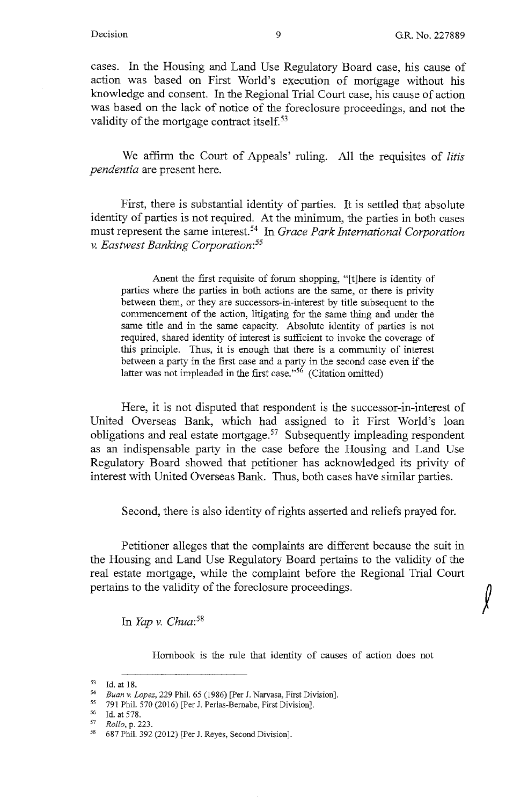$\int$ 

cases. In the Housing and Land Use Regulatory Board case, his cause of action was based on First World's execution of mortgage without his knowledge and consent. In the Regional Trial Court case, his cause of action was based on the lack of notice of the foreclosure proceedings, and not the validity of the mortgage contract itself.<sup>53</sup>

We affirm the Court of Appeals' ruling. All the requisites of *litis pendentia* are present here.

First, there is substantial identity of parties. It is settled that absolute identity of parties is not required. At the minimum, the parties in both cases must represent the same interest. 54 In *Grace Park International Corporation v. Eastwest Banking Corporation: <sup>55</sup>*

Anent the first requisite of forum shopping, "[t]here is identity of parties where the parties in both actions are the same, or there is privity between them, or they are successors-in-interest by title subsequent to the commencement of the action, litigating for the same thing and under the same title and in the same capacity. Absolute identity of parties is not required, shared identity of interest is sufficient to invoke the coverage of this principle. Thus, it is enough that there is a community of interest between a party in the first case and a party in the second case even if the latter was not impleaded in the first case." $56$  (Citation omitted)

Here, it is not disputed that respondent is the successor-in-interest of United Overseas Bank, which had assigned to it First World's loan obligations and real estate mortgage.<sup>57</sup> Subsequently impleading respondent as an indispensable party in the case before the Housing and Land Use Regulatory Board showed that petitioner has acknowledged its privity of interest with United Overseas Bank. Thus, both cases have similar parties.

Second, there is also identity of rights asserted and reliefs prayed for.

Petitioner alleges that the complaints are different because the suit in the Housing and Land Use Regulatory Board pertains to the validity of the real estate mortgage, while the complaint before the Regional Trial Court pertains to the validity of the foreclosure proceedings.

In *Yap v. Chua: <sup>58</sup>*

Hombook is the rule that identity of causes of action does not

<sup>55</sup> 791 Phil. 570 (2016) [Per J. Perlas-Bernabe, First Division].<br><sup>56</sup> Id. at 578.<br><sup>57</sup> Polle **p**. 223

57 *Rollo,* p. 223.

<sup>53</sup> Id. at 18.<br>54 *Buan v. Lopez*, 229 Phil. 65 (1986) [Per J. Narvasa, First Division].<br>55 701 Phil. 570 (2016) [Per J. Perlas-Bernabe, First Division].

<sup>58</sup>687 Phil. 392 (2012) [Per J. Reyes, Second Division].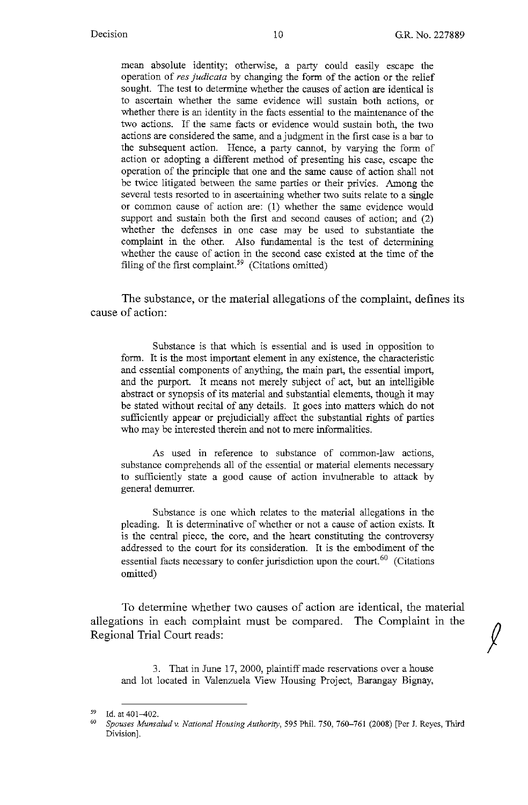mean absolute identity; otherwise, a party could easily escape the operation of *res judicata* by changing the form of the action or the relief sought. The test to determine whether the causes of action are identical is to ascertain whether the same evidence will sustain both actions, or whether there is an identity in the facts essential to the maintenance of the two actions. If the same facts or evidence would sustain both, the two actions are considered the same, and a judgment in the first case is a bar to the subsequent action. Hence, a party cannot, by varying the form of action or adopting a different method of presenting his case, escape the operation of the principle that one and the same cause of action shall not be twice litigated between the same parties or their privies. Among the several tests resorted to in ascertaining whether two suits relate to a single or common cause of action are: (1) whether the same evidence would support and sustain both the first and second causes of action; and (2) whether the defenses in one case may be used to substantiate the complaint in the other. Also fundamental is the test of determining whether the cause of action in the second case existed at the time of the filing of the first complaint.<sup>59</sup> (Citations omitted)

The substance, or the material allegations of the complaint, defines its cause of action:

Substance is that which is essential and is used in opposition to form. It is the most important element in any existence, the characteristic and essential components of anything, the main part, the essential import, and the purport. It means not merely subject of act, but an intelligible abstract or synopsis of its material and substantial elements, though it may be stated without recital of any details. It goes into matters which do not sufficiently appear or prejudicially affect the substantial rights of parties who may be interested therein and not to mere informalities.

As used in reference to substance of common-law actions, substance comprehends all of the essential or material elements necessary to sufficiently state a good cause of action invulnerable to attack by general demurrer.

Substance is one which relates to the material allegations in the pleading. It is determinative of whether or not a cause of action exists. It is the central piece, the core, and the heart constituting the controversy addressed to the court for its consideration. It is the embodiment of the essential facts necessary to confer jurisdiction upon the court.<sup>60</sup> (Citations omitted)

To determine whether two causes of action are identical, the material allegations in each complaint must be compared. The Complaint in the Regional Trial Court reads:

3. That in June 17, 2000, plaintiff made reservations over a house and lot located in Valenzuela View Housing Project, Barangay Bignay,

<sup>&</sup>lt;sup>59</sup> Id. at 401–402.<br><sup>60</sup> *Spouses Munsalud v. National Housing Authority*, 595 Phil. 750, 760–761 (2008) [Per J. Reyes, Third Division].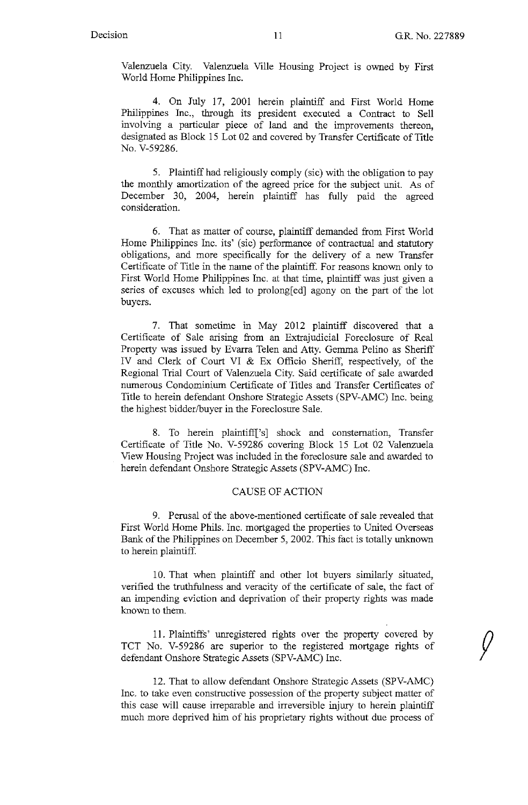$\sqrt{ }$ 

Valenzuela City. Valenzuela Ville Housing Project is owned by First World Home Philippines Inc.

4. On July 17, 2001 herein plaintiff and First World Home Philippines Inc., through its president executed a Contract to Sell involving a particular piece of land and the improvements thereon, designated as Block 15 Lot 02 and covered by Transfer Certificate of Title No. V-59286.

5. Plaintiff had religiously comply (sic) with the obligation to pay the monthly amortization of the agreed price for the subject unit. As of December 30, 2004, herein plaintiff has fully paid the agreed consideration.

6. That as matter of course, plaintiff demanded from First World Home Philippines Inc. its' (sic) performance of contractual and statutory obligations, and more specifically for the delivery of a new Transfer Certificate of Title in the name of the plaintiff. For reasons known only to First World Home Philippines Inc. at that time, plaintiff was just given a series of excuses which led to prolong[ed] agony on the part of the lot buyers.

7. That sometime in May 2012 plaintiff discovered that a Certificate of Sale arising from an Extrajudicial Foreclosure of Real Property was issued by Evarra Telen and Atty. Gemma Pelino as Sheriff IV and Clerk of Court VI & Ex Officio Sheriff, respectively, of the Regional Trial Court of Valenzuela City. Said certificate of sale awarded numerous Condominium Certificate of Titles and Transfer Certificates of Title to herein defendant Onshore Strategic Assets (SPV-AMC) Inc. being the highest bidder/buyer in the Foreclosure Sale.

8. To herein plaintiff['s] shock and consternation, Transfer Certificate of Title No. V-59286 covering Block 15 Lot 02 Valenzuela View Housing Project was included in the foreclosure sale and awarded to herein defendant Onshore Strategic Assets (SPV-AMC) Inc.

#### CAUSE OF ACTION

9. Perusal of the above-mentioned certificate of sale revealed that First World Home Phils. Inc. mortgaged the properties to United Overseas Bank of the Philippines on December 5, 2002. This fact is totally unknown to herein plaintiff.

10. That when plaintiff and other lot buyers similarly situated, verified the truthfulness and veracity of the certificate of sale, the fact of an impending eviction and deprivation of their property rights was made known to them.

11. Plaintiffs' unregistered rights over the property covered by TCT No. V-59286 are superior to the registered mortgage rights of defendant Onshore Strategic Assets (SPV-AMC) Inc.

12. That to allow defendant Onshore Strategic Assets (SPV-AMC) Inc. to take even constructive possession of the property subject matter of this case will cause irreparable and irreversible injury to herein plaintiff much more deprived him of his proprietary rights without due process of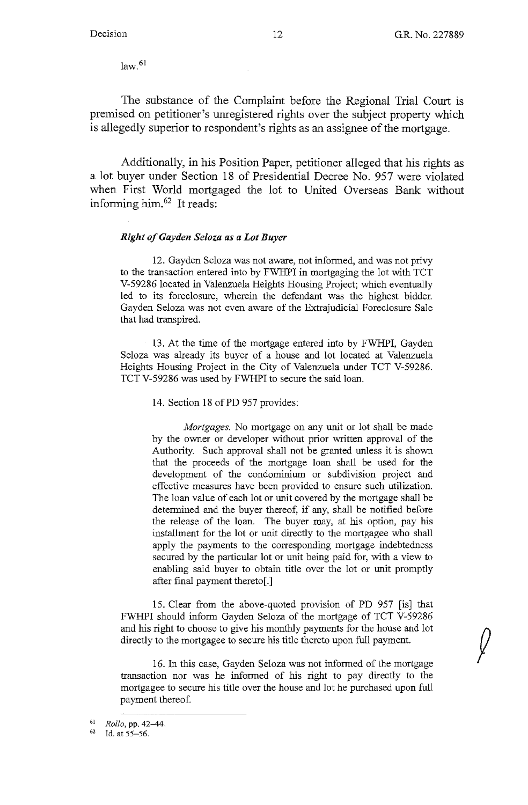$\sqrt{ }$ 

 $law.<sup>61</sup>$ 

The substance of the Complaint before the Regional Trial Court is premised on petitioner's unregistered rights over the subject property which is allegedly superior to respondent's rights as an assignee of the mortgage.

Additionally, in his Position Paper, petitioner alleged that his rights as a lot buyer under Section 18 of Presidential Decree No. 957 were violated when First World mortgaged the lot to United Overseas Bank without informing him.<sup>62</sup> It reads:

#### *Right of Gayden Seloza as a Lot Buyer*

12. Gayden Seloza was not aware, not informed, and was not privy to the transaction entered into by FWHPI in mortgaging the lot with TCT V-59286 located in Valenzuela Heights Housing Project; which eventually led to its foreclosure, wherein the defendant was the highest bidder. Gayden Seloza was not even aware of the Extrajudicial Foreclosure Sale that had transpired.

13. At the time of the mortgage entered into by FWHPI, Gayden Seloza was already its buyer of a house and lot located at Valenzuela Heights Housing Project in the City of Valenzuela under TCT V-59286. TCT V-59286 was used by FWHPI to secure the said loan.

14. Section 18 of PD 957 provides:

*Mortgages.* No mortgage on any unit or lot shall be made by the owner or developer without prior written approval of the Authority. Such approval shall not be granted unless it is shown that the proceeds of the mortgage loan shall be used for the development of the condominium or subdivision project and effective measures have been provided to ensure such utilization. The loan value of each lot or unit covered by the mortgage shall be determined and the buyer thereof, if any, shall be notified before the release of the loan. The buyer may, at his option, pay his installment for the lot or unit directly to the mortgagee who shall apply the payments to the corresponding mortgage indebtedness secured by the particular lot or unit being paid for, with a view to enabling said buyer to obtain title over the lot or unit promptly after final payment thereto[.]

15. Clear from the above-quoted provision of PD 957 [is] that FWHPI should inform Gayden Seloza of the mortgage of TCT V-59286 and his right to choose to give his monthly payments for the house and lot directly to the mortgagee to secure his title thereto upon full payment.

16. In this case, Gayden Seloza was not informed of the mortgage transaction nor was he informed of his right to pay directly to the mortgagee to secure his title over the house and lot he purchased upon full payment thereof.

<sup>61</sup> *Rollo,* pp. 42-44,

 $62$  Id. at  $55-56$ .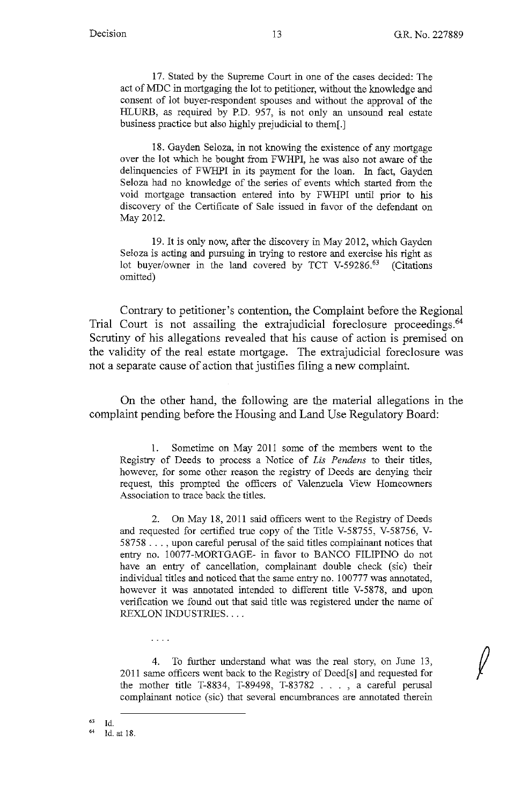17. Stated by the Supreme Court in one of the cases decided: The act of MDC in mortgaging the lot to petitioner, without the knowledge and consent of lot buyer-respondent spouses and without the approval of the HLURB, as required by P.D. 957, is not only an unsound real estate business practice but also highly prejudicial to them[.]

18. Gayden Seloza, in not knowing the existence of any mortgage over the lot which he bought from FWHPI, he was also not aware of the delinquencies of FWHPI in its payment for the loan. In fact, Gayden Seloza had no knowledge of the series of events which started from the void mortgage transaction entered into by FWHPI until prior to his discovery of the Certificate of Sale issued in favor of the defendant on May 2012.

19. It is only now, after the discovery in May 2012, which Gayden Seloza is acting and pursuing in trying to restore and exercise his right as lot buyer/owner in the land covered by TCT V-59286.<sup>63</sup> (Citations omitted)

Contrary to petitioner's contention, the Complaint before the Regional Trial Court is not assailing the extrajudicial foreclosure proceedings.<sup>64</sup> Scrutiny of his allegations revealed that his cause of action is premised on the validity of the real estate mortgage. The extrajudicial foreclosure was not a separate cause of action that justifies filing a new complaint.

On the other hand, the following are the material allegations in the complaint pending before the Housing and Land Use Regulatory Board:

1. Sometime on May 2011 some of the members went to the Registry of Deeds to process a Notice of *Lis Pendens* to their titles, however, for some other reason the registry of Deeds are denying their request, this prompted the officers of Valenzuela View Homeowners Association to trace back the titles.

2. On May 18, 2011 said officers went to the Registry of Deeds and requested for certified true copy of the Title V-58755, V-58756, V-58758 ... , upon careful perusal of the said titles complainant notices that entry no. 10077-MORTGAGE- in favor to BANCO FILIPINO do not have an entry of cancellation, complainant double check (sic) their individual titles and noticed that the same entry no. 100777 was annotated, however it was annotated intended to different title V-5878, and upon verification we found out that said title was registered under the name of REXLON INDUSTRIES ....

4. To further understand what was the real story, on June 13, 2011 same officers went back to the Registry of Deed[s] and requested for the mother title T-8834, T-89498, T-83782 . . . , a careful perusal complainant notice (sic) that several encumbrances are annotated therein

 $^{63}$  Id.

 $\ldots$  .

<sup>64</sup>Id. at 18.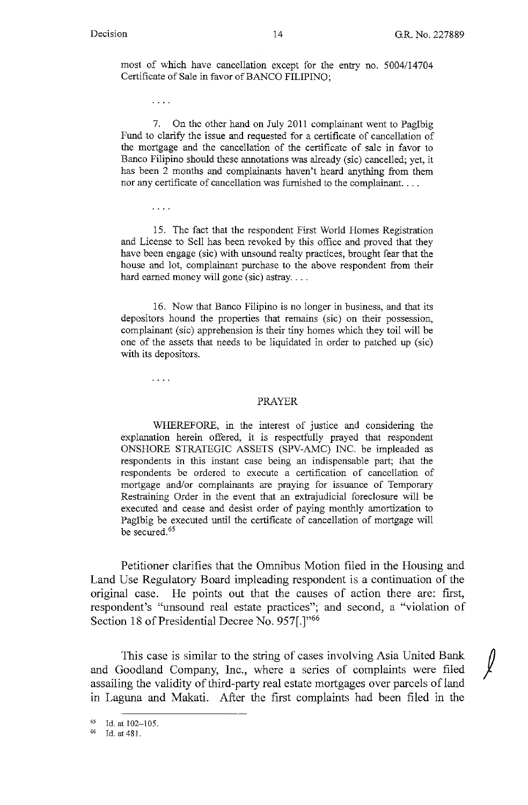j

most of which have cancellation except for the entry no. 5004/14704 Certificate of Sale in favor of BANCO FILIPINO;

 $\mathbf{1}$  ,  $\mathbf{1}$ 

. . . .

7. On the other hand on July 2011 complainant went to Paglbig Fund to clarify the issue and requested for a certificate of cancellation of the mortgage and the cancellation of the certificate of sale in favor to Banco Filipino should these annotations was already (sic) cancelled; yet, it has been 2 months and complainants haven't heard anything from them nor any certificate of cancellation was furnished to the complainant....

15. The fact that the respondent First World Homes Registration and License to Sell has been revoked by this office and proved that they have been engage (sic) with unsound realty practices, brought fear that the house and lot, complainant purchase to the above respondent from their hard earned money will gone (sic) astray....

16. Now that Banco Filipino is no longer in business, and that its depositors hound the properties that remains (sic) on their possession, complainant (sic) apprehension is their tiny homes which they toil will be one of the assets that needs to be liquidated in order to patched up (sic) with its depositors.

 $\ldots$  .

#### PRAYER

WHEREFORE, in the interest of justice and considering the explanation herein offered, it is respectfully prayed that respondent ONSHORE STRATEGIC ASSETS (SPV-AMC) INC. be impleaded as respondents in this instant case being an indispensable part; that the respondents be ordered to execute a certification of cancellation of mortgage and/or complainants are praying for issuance of Temporary Restraining Order in the event that an extrajudicial foreclosure will be executed and cease and desist order of paying monthly amortization to Pagibig be executed until the certificate of cancellation of mortgage will be secured. 65

Petitioner clarifies that the Omnibus Motion filed in the Housing and Land Use Regulatory Board impleading respondent is a continuation of the original case. **He** points out that the causes of action there are: first, respondent's "unsound real estate practices"; and second, a "violation of Section 18 of Presidential Decree No. 957[.]"66

This case is similar to the string of cases involving Asia United Bank and Goodland Company, Inc., where a series of complaints were filed assailing the validity of third-party real estate mortgages over parcels of land m Laguna and Makati. After the first complaints had been filed in the

 $^{65}$  Id. at 102-105.<br> $^{66}$  Id. at 481.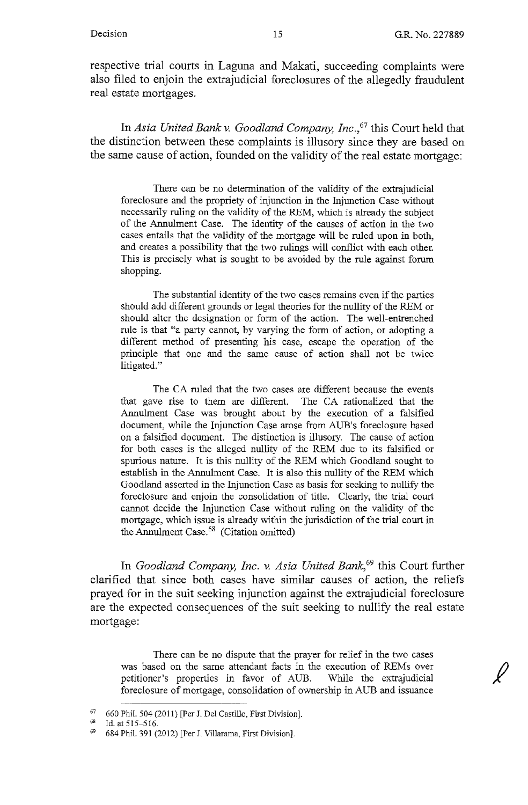respective trial courts in Laguna and Makati, succeeding complaints were also filed to enjoin the extrajudicial foreclosures of the allegedly fraudulent real estate mortgages.

In *Asia United Bank v. Goodland Company, Inc.*<sup>67</sup> this Court held that the distinction between these complaints is illusory since they are based on the same cause of action, founded on the validity of the real estate mortgage:

There can be no determination of the validity of the extrajudicial foreclosure and the propriety of injunction in the Injunction Case without necessarily ruling on the validity of the REM, which is already the subject of the Annulment Case. The identity of the causes of action in the two cases entails that the validity of the mortgage will be ruled upon in both, and creates a possibility that the two rulings will conflict with each other. This is precisely what is sought to be avoided by the rule against forum shopping.

The substantial identity of the two cases remains even if the parties should add different grounds or legal theories for the nullity of the REM or should alter the designation or form of the action. The well-entrenched rule is that "a party cannot, by varying the form of action, or adopting a different method of presenting his case, escape the operation of the principle that one and the same cause of action shall not be twice litigated."

The CA ruled that the two cases are different because the events that gave rise to them are different. The CA rationalized that the Annulment Case was brought about by the execution of a falsified document, while the Injunction Case arose from AUB's foreclosure based on a falsified document. The distinction is illusory. The cause of action for both cases is the alleged nullity of the REM due to its falsified or spurious nature. It is this nullity of the REM which Goodland sought to establish in the Annulment Case. It is also this nullity of the REM which Goodland asserted in the Injunction Case as basis for seeking to nullify the foreclosure and enjoin the consolidation of title. Clearly, the trial court cannot decide the Injunction Case without ruling on the validity of the mortgage, which issue is already within the jurisdiction of the trial court in the Annulment Case.<sup>68</sup> (Citation omitted)

In *Goodland Company, Inc. v. Asia United Bank,69* this Court further clarified that since both cases have similar causes of action, the reliefs prayed for in the suit seeking injunction against the extrajudicial foreclosure are the expected consequences of the suit seeking to nullify the real estate mortgage:

There can be no dispute that the prayer for relief in the two cases was based on the same attendant facts in the execution of REMs over petitioner's properties in favor of AUB. While the extrajudicial foreclosure of mortgage, consolidation of ownership in AUB and issuance

<sup>67 660</sup> Phil. 504 (2011) [Per J. Del Castillo, First Division].

Id. at 515-516.

<sup>69</sup>684 Phil. 391 (2012) [Per J. Villarama, First Division].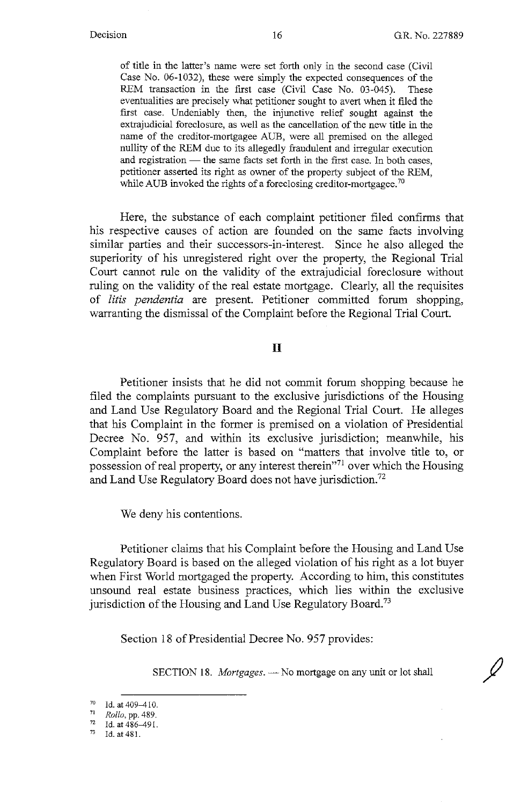of title in the latter's name were set forth only in the second case (Civil Case No. 06-1032), these were simply the expected consequences of the REM transaction in the first case (Civil Case No. 03-045). These eventualities are precisely what petitioner sought to avert when it filed the first case. Undeniably then, the injunctive relief sought against the extrajudicial foreclosure, as well as the cancellation of the new title in the name of the creditor-mortgagee AUB, were all premised on the alleged nullity of the REM due to its allegedly fraudulent and irregular execution and registration  $-$  the same facts set forth in the first case. In both cases, petitioner asserted its right as owner of the property subject of the REM, while AUB invoked the rights of a foreclosing creditor-mortgagee.<sup>70</sup>

Here, the substance of each complaint petitioner filed confirms that his respective causes of action are founded on the same facts involving similar parties and their successors-in-interest. Since he also alleged the superiority of his unregistered right over the property, the Regional Trial Court cannot rule on the validity of the extrajudicial foreclosure without ruling on the validity of the real estate mortgage. Clearly, all the requisites of *litis pendentia* are present. Petitioner committed forum shopping, warranting the dismissal of the Complaint before the Regional Trial Court.

### II

Petitioner insists that he did not commit forum shopping because he filed the complaints pursuant to the exclusive jurisdictions of the Housing and Land Use Regulatory Board and the Regional Trial Court. He alleges that his Complaint in the former is premised on a violation of Presidential Decree No. 957, and within its exclusive jurisdiction; meanwhile, his Complaint before the latter is based on "matters that involve title to, or possession of real property, or any interest therein"71 over which the Housing and Land Use Regulatory Board does not have jurisdiction.<sup>72</sup>

We deny his contentions.

Petitioner claims that his Complaint before the Housing and Land Use Regulatory Board is based on the alleged violation of his right as a lot buyer when First World mortgaged the property. According to him, this constitutes unsound real estate business practices, which lies within the exclusive jurisdiction of the Housing and Land Use Regulatory Board.<sup>73</sup>

Section 18 of Presidential Decree No. 957 provides:

SECTION 18. *Mortgages*. - No mortgage on any unit or lot shall

<sup>70</sup> Id. at 409-410. 71 *Rollo,* pp. 489.

 $^{72}$  Id. at 486-491.<br> $^{73}$  Id. at 481.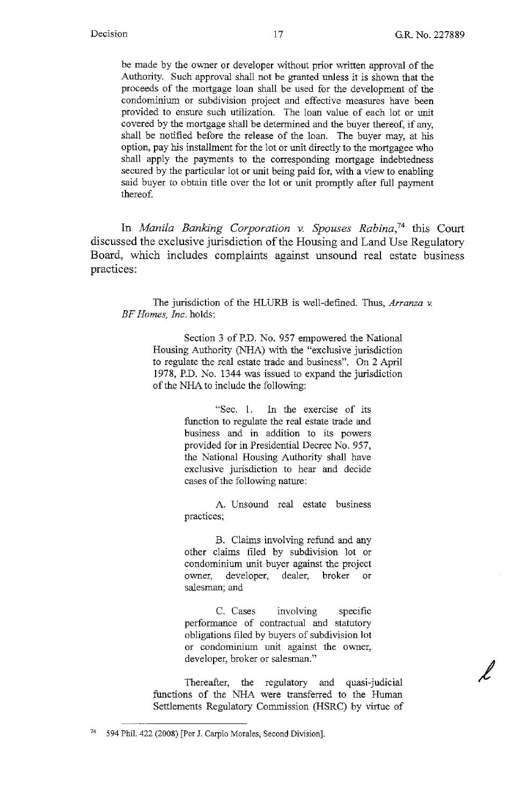*j* 

be made by the owner or developer without prior written approval of the Authority. Such approval shall not be granted unless it is shown that the proceeds of the mortgage loan shall be used for the development of the condominium or subdivision project and effective measures have been provided to ensure such utilization. The loan value of each lot or unit covered by the mortgage shall be determined and the buyer thereof, if any, shall be notified before the release of the loan. The buyer may, at his option, pay his installment for the lot or unit directly to the mortgagee who shall apply the payments to the corresponding mortgage indebtedness secured by the particular lot or unit being paid for, with a view to enabling said buyer to obtain title over the lot or unit promptly after full payment thereof.

In *Manila Banking Corporation v. Spouses Rabina,74* this Court discussed the exclusive jurisdiction of the Housing and Land Use Regulatory Board, which includes complaints against unsound real estate business practices:

The jurisdiction of the BLURB is well-defined. Thus, *Arranza* v. *BF Homes, Inc.* holds:

> Section 3 of P.D. No. 957 empowered the National Housing Authority (NHA) with the "exclusive jurisdiction to regulate the real estate trade and business". On 2 April 1978, P.D. No. 1344 was issued to expand the jurisdiction of the NHA to include the following:

> > "Sec. 1. In the exercise of its function to regulate the real estate trade and business and in addition to its powers provided for in Presidential Decree No. 957, the National Housing Authority shall have exclusive jurisdiction to hear and decide cases of the following nature:

> > A. Unsound real estate business practices;

> > B. Claims involving refund and any other claims filed by subdivision lot or condominium unit buyer against the project owner, developer, dealer, broker or salesman; and

> > C. Cases involving specific performance of contractual and statutory obligations filed by buyers of subdivision lot or condominium unit against the owner, developer, broker or salesman."

Thereafter, the regulatory and quasi-judicial functions of the NHA were transferred to the Human Settlements Regulatory Commission (HSRC) by virtue of

<sup>74 594</sup> Phil. 422 (2008) [Per J. Carpio Morales, Second Division].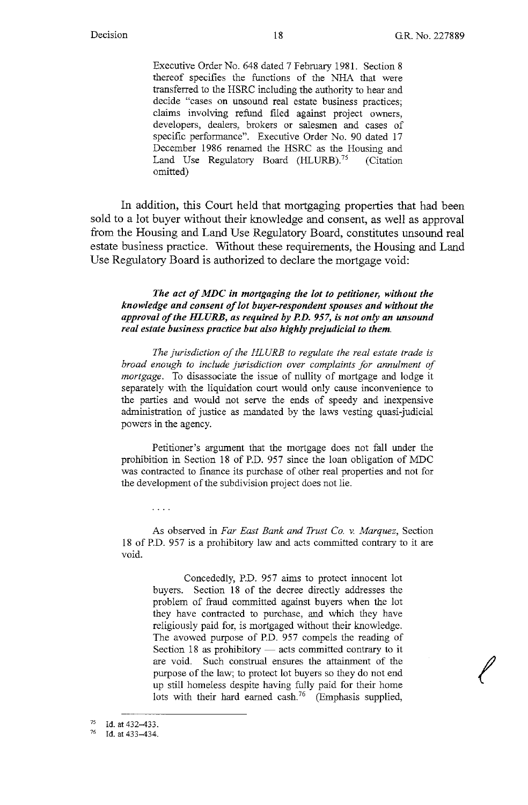*I* 

Executive Order No. 648 dated 7 February 1981. Section 8 thereof specifies the functions of the NHA that were transferred to the HSRC including the authority to hear and decide "cases on unsound real estate business practices; claims involving refund filed against project owners, developers, dealers, brokers or salesmen and cases of specific performance". Executive Order No. 90 dated 17 December 1986 renamed the HSRC as the Housing and Land Use Regulatory Board (HLURB).<sup>75</sup> (Citation omitted)

In addition, this Court held that mortgaging properties that had been sold to a lot buyer without their knowledge and consent, as well as approval from the Housing and Land Use Regulatory Board, constitutes unsound real estate business practice. Without these requirements, the Housing and Land Use Regulatory Board is authorized to declare the mortgage void:

#### *The act of MDC in mortgaging the lot to petitioner, without the knowledge and consent of lot buyer-respondent spouses and without the*  approval of the HLURB, as required by P.D. 957, is not only an unsound *real estate business practice but also highly prejudicial to them.*

*The jurisdiction of the HLURB to regulate the real estate trade is broad enough to include jurisdiction over complaints for annulment of mortgage.* To disassociate the issue of nullity of mortgage and lodge it separately with the liquidation court would only cause inconvenience to the parties and would not serve the ends of speedy and inexpensive administration of justice as mandated by the laws vesting quasi-judicial powers in the agency.

Petitioner's argument that the mortgage does not fall under the prohibition in Section 18 of P.D. 957 since the loan obligation of MDC was contracted to finance its purchase of other real properties and not for the development of the subdivision project does not lie.

 $\cdots$ 

As observed in *Far East Bank and Trust Co. v. Marquez,* Section 18 of P.D. 957 is a prohibitory law and acts committed contrary to it are void.

> Concededly, P.D. 957 aims to protect innocent lot buyers. Section 18 of the decree directly addresses the problem of fraud committed against buyers when the lot they have contracted to purchase, and which they have religiously paid for, is mortgaged without their knowledge. The avowed purpose of P.D. 957 compels the reading of Section 18 as prohibitory  $-$  acts committed contrary to it are void. Such construal ensures the attainment of the purpose of the law; to protect lot buyers so they do not end up still homeless despite having fully paid for their home lots with their hard earned cash.<sup>76</sup> (Emphasis supplied,

 $^{75}$  Id. at 432-433.

Id. at 433-434.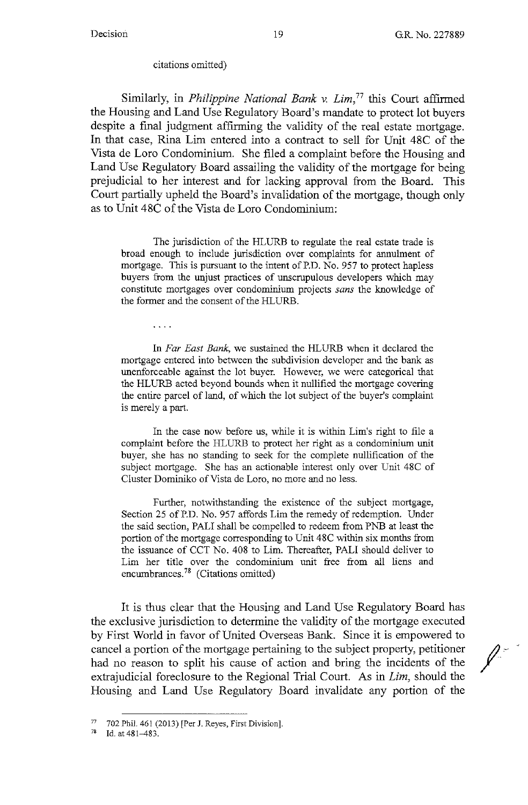#### citations omitted)

Similarly, in *Philippine National Bank v. Lim*,<sup>77</sup> this Court affirmed the Housing and Land Use Regulatory Board's mandate to protect lot buyers despite a final judgment affirming the validity of the real estate mortgage. In that case, Rina Lim entered into a contract to sell for Unit 48C of the Vista de Loro Condominium. She filed a complaint before the Housing and Land Use Regulatory Board assailing the validity of the mortgage for being prejudicial to her interest and for lacking approval from the Board. This Court partially upheld the Board's invalidation of the mortgage, though only as to Unit 48C of the Vista de Loro Condominium:

The jurisdiction of the HLURB to regulate the real estate trade is broad enough to include jurisdiction over complaints for annulment of mortgage. This is pursuant to the intent of P.D. No. 957 to protect hapless buyers from the unjust practices of unscrupulous developers which may constitute mortgages over condominium projects *sans* the knowledge of the former and the consent of the HLURB.

 $\ldots$  .

In *Far East Bank,* we sustained the HLURB when it declared the mortgage entered into between the subdivision developer and the bank as unenforceable against the lot buyer. However, we were categorical that the HLURB acted beyond bounds when it nullified the mortgage covering the entire parcel of land, of which the lot subject of the buyer's complaint is merely a part.

In the case now before us, while it is within Lim's right to file a complaint before the HLURB to protect her right as a condominium unit buyer, she has no standing to seek for the complete nullification of the subject mortgage. She has an actionable interest only over Unit 48C of Cluster Dominiko of Vista de Loro, no more and no less.

Further, notwithstanding the existence of the subject mortgage, Section 25 of P.D. No. 957 affords Lim the remedy of redemption. Under the said section, PALI shall be compelled to redeem from PNB at least the portion of the mortgage corresponding to Unit 48C within six months from the issuance of CCT No. 408 to Lim. Thereafter, PALI should deliver to Lim her title over the condominium unit free from all liens and encumbrances.<sup>78</sup> (Citations omitted)

It is thus clear that the Housing and Land Use Regulatory Board has the exclusive jurisdiction to determine the validity of the mortgage executed by First World in favor of United Overseas Bank. Since it is empowered to cancel a portion of the mortgage pertaining to the subject property, petitioner had no reason to split his cause of action and bring the incidents of the extrajudicial foreclosure to the Regional Trial Court. As in *Lim,* should the Housing and Land Use Regulatory Board invalidate any portion of the

<sup>77 702</sup> Phil. 461 (2013) [Per J. Reyes, First Division].<br><sup>78</sup> Id. at  $481-483$ .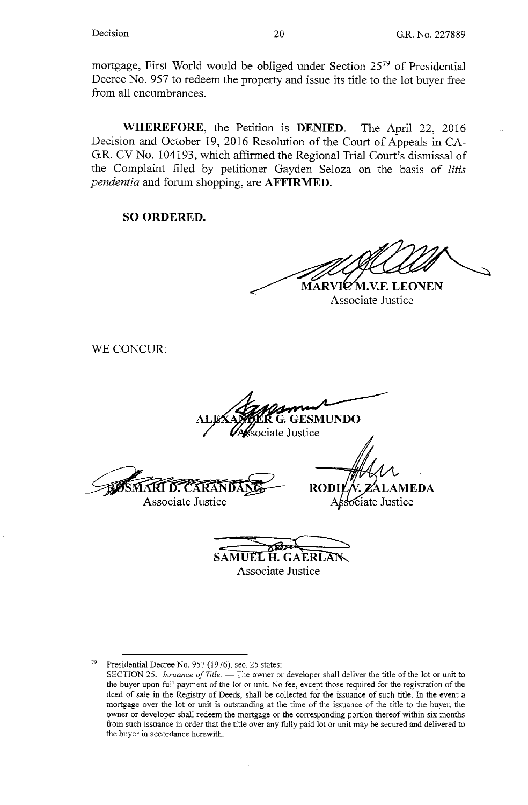mortgage, First World would be obliged under Section 25<sup>79</sup> of Presidential Decree No. 957 to redeem the property and issue its title to the lot buyer free from all encumbrances.

**WHEREFORE,** the Petition is **DENIED.** The April 22, 2016 Decision and October 19, 2016 Resolution of the Court of Appeals in CA-G.R. CV No. 104193, which affirmed the Regional Trial Court's dismissal of the Complaint filed by petitioner Gayden Seloza on the basis of *litis pendentia* and forum shopping, are **AFFIRMED.** 

**SO ORDERED.** 

**MARVI .V.F. LEONEN** 

Associate Justice

WE CONCUR:

**ESMUNDO** iate Justice

**ARI D. CARANDA** Associate Justice

**RODI** AEDA ciate Justice

**SAMUEL H. GAERLAN** Associate Justice

Presidential Decree No. 957 (1976), sec. 25 states:

SECTION 25. *Issuance of Title*. - The owner or developer shall deliver the title of the lot or unit to the buyer upon full payment of the lot or unit. No fee, except those required for the registration of the deed of sale in the Registry of Deeds, shall be collected for the issuance of such title. In the event a **mortgage over the lot or unit is outstanding at the time of the issuance of the title to the buyer, the owner or developer shall redeem the mortgage or the corresponding portion thereof within six months**  from such issuance in order that the title over any fully paid lot or unit may be secured and delivered to **the buyer in accordance herewith.**